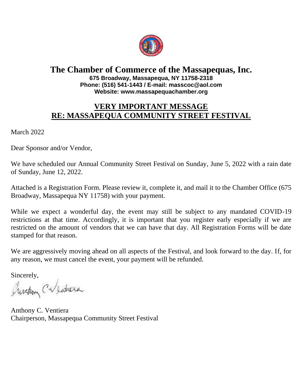

#### **The Chamber of Commerce of the Massapequas, Inc. 675 Broadway, Massapequa, NY 11758-2318 Phone: (516) 541-1443 / E-mail: masscoc@aol.com Website: www.massapequachamber.org**

# **VERY IMPORTANT MESSAGE RE: MASSAPEQUA COMMUNITY STREET FESTIVAL**

March 2022

Dear Sponsor and/or Vendor,

We have scheduled our Annual Community Street Festival on Sunday, June 5, 2022 with a rain date of Sunday, June 12, 2022.

Attached is a Registration Form. Please review it, complete it, and mail it to the Chamber Office (675 Broadway, Massapequa NY 11758) with your payment.

While we expect a wonderful day, the event may still be subject to any mandated COVID-19 restrictions at that time. Accordingly, it is important that you register early especially if we are restricted on the amount of vendors that we can have that day. All Registration Forms will be date stamped for that reason.

We are aggressively moving ahead on all aspects of the Festival, and look forward to the day. If, for any reason, we must cancel the event, your payment will be refunded.

Sincerely,

Auretion Calentera

Anthony C. Ventiera Chairperson, Massapequa Community Street Festival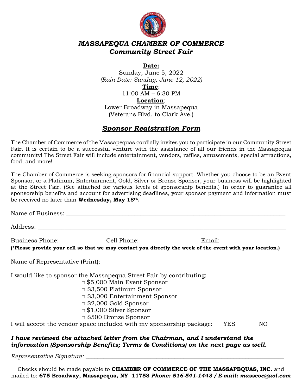

#### *MASSAPEQUA CHAMBER OF COMMERCE Community Street Fair*

#### **Date:**

Sunday, June 5, 2022 *(Rain Date: Sunday, June 12, 2022)* **Time**: 11:00 AM – 6:30 PM **Location**:

Lower Broadway in Massapequa (Veterans Blvd. to Clark Ave.)

## *Sponsor Registration Form*

The Chamber of Commerce of the Massapequas cordially invites you to participate in our Community Street Fair. It is certain to be a successful venture with the assistance of all our friends in the Massapequa community! The Street Fair will include entertainment, vendors, raffles, amusements, special attractions, food, and more!

The Chamber of Commerce is seeking sponsors for financial support. Whether you choose to be an Event Sponsor, or a Platinum, Entertainment, Gold, Silver or Bronze Sponsor, your business will be highlighted at the Street Fair. (See attached for various levels of sponsorship benefits.) In order to guarantee all sponsorship benefits and account for advertising deadlines, your sponsor payment and information must be received no later than **Wednesday, May 18th.**

|  | Business Phone: Cell Phone: Cell Phone: Email:                                                                                                                                                                                                                                |     |    |
|--|-------------------------------------------------------------------------------------------------------------------------------------------------------------------------------------------------------------------------------------------------------------------------------|-----|----|
|  | (*Please provide your cell so that we may contact you directly the week of the event with your location.)                                                                                                                                                                     |     |    |
|  |                                                                                                                                                                                                                                                                               |     |    |
|  | I would like to sponsor the Massapequa Street Fair by contributing:<br>$\Box$ \$5,000 Main Event Sponsor<br>$\Box$ \$3,500 Platinum Sponsor<br>$\Box$ \$3,000 Entertainment Sponsor<br>$\Box$ \$2,000 Gold Sponsor<br>$\Box$ \$1,000 Silver Sponsor<br>□ \$500 Bronze Sponsor |     |    |
|  | I will accept the vendor space included with my sponsorship package:                                                                                                                                                                                                          | YES | NΟ |

#### *I have reviewed the attached letter from the Chairman, and I understand the information (Sponsorship Benefits; Terms & Conditions) on the next page as well.*

*Representative Signature: \_\_\_\_\_\_\_\_\_\_\_\_\_\_\_\_\_\_\_\_\_\_\_\_\_\_\_\_\_\_\_\_\_\_\_\_\_\_\_\_\_\_\_\_\_\_\_\_\_\_\_\_\_\_\_\_\_\_\_\_\_\_\_\_\_\_\_*

Checks should be made payable to **CHAMBER OF COMMERCE OF THE MASSAPEQUAS, INC.** and mailed to: **675 Broadway, Massapequa, NY 11758** *Phone: 516-541-1443 / E-mail: masscoc@aol.com*